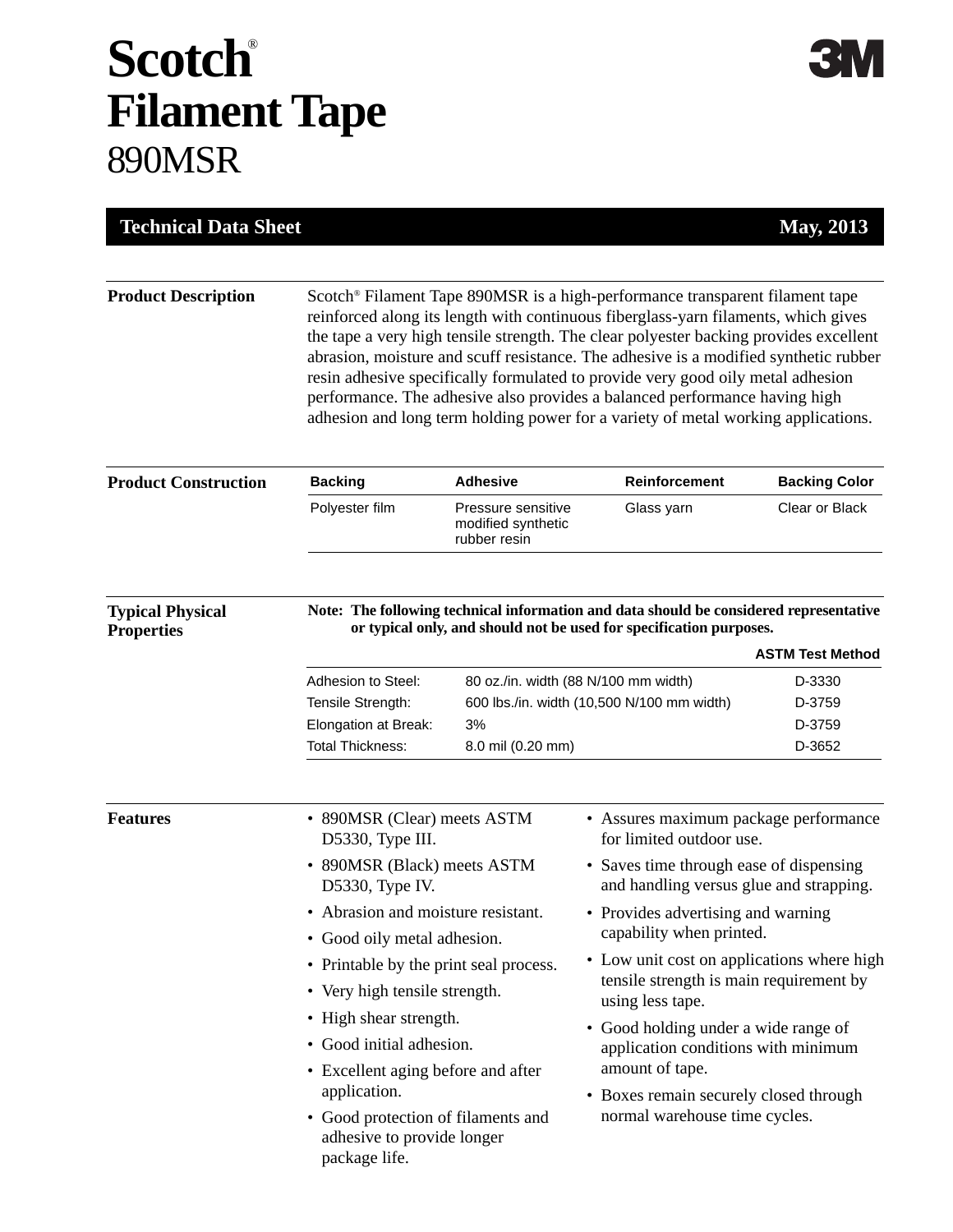## **Scotch**® **Filament Tape** 890MSR

| <b>Technical Data Sheet</b>                                                 |                                                                                                                                                                                                                                                                                                                                                                                                                                                                                                                                                                                                           |                                                          |                                                                                                                                                                             | <b>May, 2013</b>                                      |  |
|-----------------------------------------------------------------------------|-----------------------------------------------------------------------------------------------------------------------------------------------------------------------------------------------------------------------------------------------------------------------------------------------------------------------------------------------------------------------------------------------------------------------------------------------------------------------------------------------------------------------------------------------------------------------------------------------------------|----------------------------------------------------------|-----------------------------------------------------------------------------------------------------------------------------------------------------------------------------|-------------------------------------------------------|--|
| <b>Product Description</b>                                                  | Scotch® Filament Tape 890MSR is a high-performance transparent filament tape<br>reinforced along its length with continuous fiberglass-yarn filaments, which gives<br>the tape a very high tensile strength. The clear polyester backing provides excellent<br>abrasion, moisture and scuff resistance. The adhesive is a modified synthetic rubber<br>resin adhesive specifically formulated to provide very good oily metal adhesion<br>performance. The adhesive also provides a balanced performance having high<br>adhesion and long term holding power for a variety of metal working applications. |                                                          |                                                                                                                                                                             |                                                       |  |
| <b>Product Construction</b><br><b>Typical Physical</b><br><b>Properties</b> | <b>Backing</b>                                                                                                                                                                                                                                                                                                                                                                                                                                                                                                                                                                                            | <b>Adhesive</b>                                          | Reinforcement                                                                                                                                                               | <b>Backing Color</b>                                  |  |
|                                                                             | Polyester film                                                                                                                                                                                                                                                                                                                                                                                                                                                                                                                                                                                            | Pressure sensitive<br>modified synthetic<br>rubber resin | Glass yarn                                                                                                                                                                  | Clear or Black                                        |  |
|                                                                             | Adhesion to Steel:<br>Tensile Strength:<br>Elongation at Break:                                                                                                                                                                                                                                                                                                                                                                                                                                                                                                                                           | 80 oz./in. width (88 N/100 mm width)<br>3%               | or typical only, and should not be used for specification purposes.<br>600 lbs./in. width (10,500 N/100 mm width)                                                           | <b>ASTM Test Method</b><br>D-3330<br>D-3759<br>D-3759 |  |
|                                                                             | <b>Total Thickness:</b>                                                                                                                                                                                                                                                                                                                                                                                                                                                                                                                                                                                   | 8.0 mil (0.20 mm)                                        |                                                                                                                                                                             | D-3652                                                |  |
| <b>Features</b>                                                             | • 890MSR (Clear) meets ASTM<br>D5330, Type III.                                                                                                                                                                                                                                                                                                                                                                                                                                                                                                                                                           |                                                          | • Assures maximum package performance<br>for limited outdoor use.                                                                                                           |                                                       |  |
|                                                                             | • 890MSR (Black) meets ASTM<br>D5330, Type IV.                                                                                                                                                                                                                                                                                                                                                                                                                                                                                                                                                            |                                                          | • Saves time through ease of dispensing<br>and handling versus glue and strapping.                                                                                          |                                                       |  |
|                                                                             | • Abrasion and moisture resistant.<br>• Good oily metal adhesion.                                                                                                                                                                                                                                                                                                                                                                                                                                                                                                                                         |                                                          | • Provides advertising and warning<br>capability when printed.<br>• Low unit cost on applications where high<br>tensile strength is main requirement by<br>using less tape. |                                                       |  |
|                                                                             | • Printable by the print seal process.<br>• Very high tensile strength.                                                                                                                                                                                                                                                                                                                                                                                                                                                                                                                                   |                                                          |                                                                                                                                                                             |                                                       |  |
|                                                                             | • High shear strength.<br>Good initial adhesion.<br>٠<br>• Excellent aging before and after                                                                                                                                                                                                                                                                                                                                                                                                                                                                                                               |                                                          | • Good holding under a wide range of<br>application conditions with minimum<br>amount of tape.                                                                              |                                                       |  |

application.

package life.

• Good protection of filaments and adhesive to provide longer

• Boxes remain securely closed through normal warehouse time cycles.